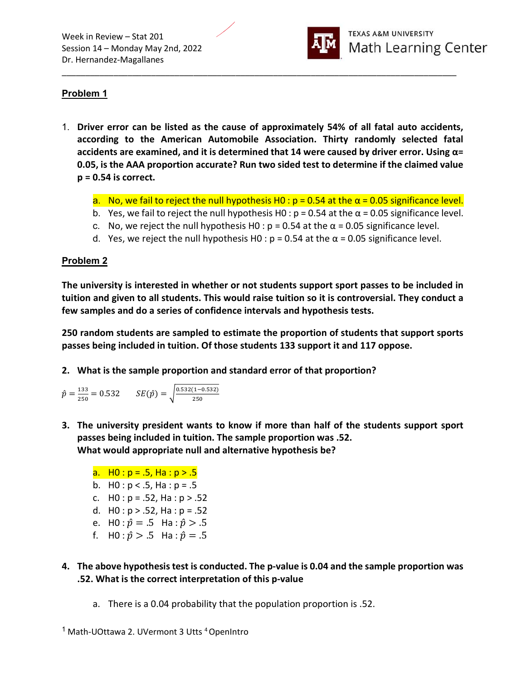

# Problem 1

1. Driver error can be listed as the cause of approximately 54% of all fatal auto accidents, according to the American Automobile Association. Thirty randomly selected fatal accidents are examined, and it is determined that 14 were caused by driver error. Using  $\alpha$ = 0.05, is the AAA proportion accurate? Run two sided test to determine if the claimed value  $p = 0.54$  is correct.

\_\_\_\_\_\_\_\_\_\_\_\_\_\_\_\_\_\_\_\_\_\_\_\_\_\_\_\_\_\_\_\_\_\_\_\_\_\_\_\_\_\_\_\_\_\_\_\_\_\_\_\_\_\_\_\_\_\_\_\_\_\_\_\_\_\_\_\_\_\_\_\_\_\_\_\_\_\_\_\_\_\_\_\_

- a. No, we fail to reject the null hypothesis H0 :  $p = 0.54$  at the  $\alpha = 0.05$  significance level.
- b. Yes, we fail to reject the null hypothesis H0 :  $p = 0.54$  at the  $\alpha = 0.05$  significance level.
- c. No, we reject the null hypothesis H0 :  $p = 0.54$  at the  $\alpha = 0.05$  significance level.
- d. Yes, we reject the null hypothesis H0 :  $p = 0.54$  at the  $\alpha = 0.05$  significance level.

#### Problem 2

The university is interested in whether or not students support sport passes to be included in tuition and given to all students. This would raise tuition so it is controversial. They conduct a few samples and do a series of confidence intervals and hypothesis tests.

250 random students are sampled to estimate the proportion of students that support sports passes being included in tuition. Of those students 133 support it and 117 oppose.

2. What is the sample proportion and standard error of that proportion?

$$
\hat{p} = \frac{133}{250} = 0.532 \qquad SE(\hat{p}) = \sqrt{\frac{0.532(1 - 0.532)}{250}}
$$

3. The university president wants to know if more than half of the students support sport passes being included in tuition. The sample proportion was .52. What would appropriate null and alternative hypothesis be?

a.  $H0: p = .5$ , Ha :  $p > .5$ b. HO:  $p < .5$ , Ha:  $p = .5$ c.  $H0 : p = .52$ , Ha :  $p > .52$ d.  $H0: p > .52$ , Ha:  $p = .52$ e. H0 :  $\hat{p} = .5$  Ha :  $\hat{p} > .5$ f. H0 :  $\hat{p} > .5$  Ha :  $\hat{p} = .5$ 

- 4. The above hypothesis test is conducted. The p-value is 0.04 and the sample proportion was .52. What is the correct interpretation of this p-value
	- a. There is a 0.04 probability that the population proportion is .52.

<sup>&</sup>lt;sup>1</sup> Math-UOttawa 2. UVermont 3 Utts <sup>4</sup> OpenIntro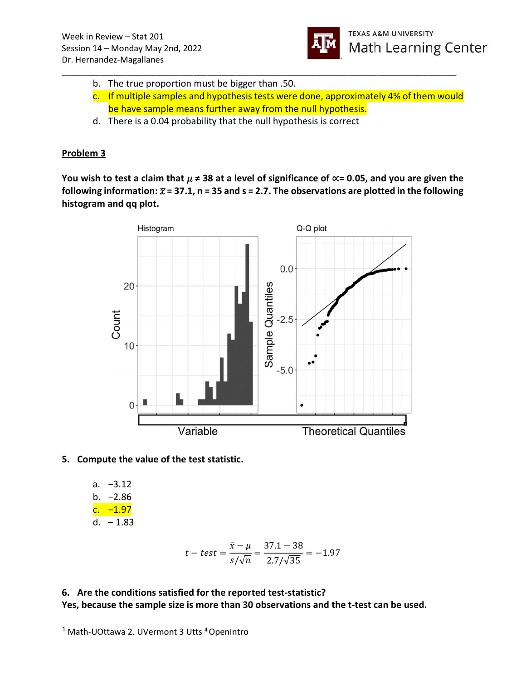

- \_\_\_\_\_\_\_\_\_\_\_\_\_\_\_\_\_\_\_\_\_\_\_\_\_\_\_\_\_\_\_\_\_\_\_\_\_\_\_\_\_\_\_\_\_\_\_\_\_\_\_\_\_\_\_\_\_\_\_\_\_\_\_\_\_\_\_\_\_\_\_\_\_\_\_\_\_\_\_\_\_\_\_\_ b. The true proportion must be bigger than .50.
	- c. If multiple samples and hypothesis tests were done, approximately 4% of them would be have sample means further away from the null hypothesis.
	- d. There is a 0.04 probability that the null hypothesis is correct

## Problem 3

You wish to test a claim that  $\mu \neq 38$  at a level of significance of  $\propto$  = 0.05, and you are given the following information:  $\bar{x}$  = 37.1, n = 35 and s = 2.7. The observations are plotted in the following histogram and qq plot.



### 5. Compute the value of the test statistic.

a. −3.12 b. −2.86 c. −1.97

$$
d. -1.83
$$

$$
t-test = \frac{\bar{x} - \mu}{s/\sqrt{n}} = \frac{37.1 - 38}{2.7/\sqrt{35}} = -1.97
$$

## 6. Are the conditions satisfied for the reported test-statistic? Yes, because the sample size is more than 30 observations and the t-test can be used.

<sup>&</sup>lt;sup>1</sup> Math-UOttawa 2. UVermont 3 Utts <sup>4</sup> OpenIntro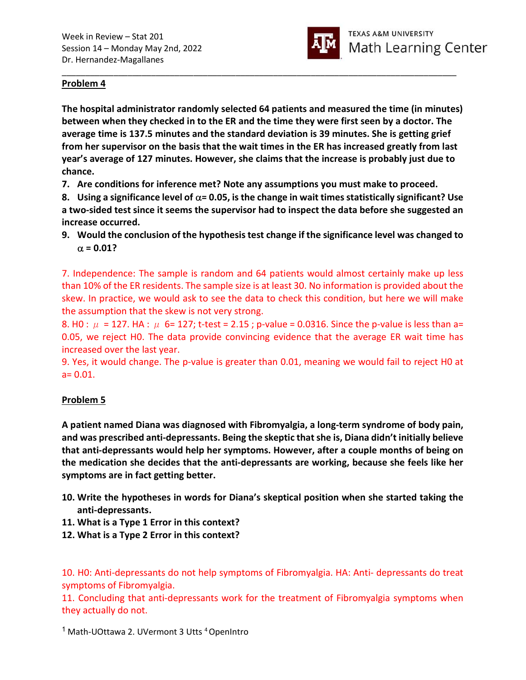

### Problem 4

The hospital administrator randomly selected 64 patients and measured the time (in minutes) between when they checked in to the ER and the time they were first seen by a doctor. The average time is 137.5 minutes and the standard deviation is 39 minutes. She is getting grief from her supervisor on the basis that the wait times in the ER has increased greatly from last year's average of 127 minutes. However, she claims that the increase is probably just due to chance.

\_\_\_\_\_\_\_\_\_\_\_\_\_\_\_\_\_\_\_\_\_\_\_\_\_\_\_\_\_\_\_\_\_\_\_\_\_\_\_\_\_\_\_\_\_\_\_\_\_\_\_\_\_\_\_\_\_\_\_\_\_\_\_\_\_\_\_\_\_\_\_\_\_\_\_\_\_\_\_\_\_\_\_\_

7. Are conditions for inference met? Note any assumptions you must make to proceed.

8. Using a significance level of  $\alpha$ = 0.05, is the change in wait times statistically significant? Use a two-sided test since it seems the supervisor had to inspect the data before she suggested an increase occurred.

9. Would the conclusion of the hypothesis test change if the significance level was changed to  $\alpha$  = 0.01?

7. Independence: The sample is random and 64 patients would almost certainly make up less than 10% of the ER residents. The sample size is at least 30. No information is provided about the skew. In practice, we would ask to see the data to check this condition, but here we will make the assumption that the skew is not very strong.

8. H0 :  $\mu$  = 127. HA :  $\mu$  6= 127; t-test = 2.15; p-value = 0.0316. Since the p-value is less than a= 0.05, we reject H0. The data provide convincing evidence that the average ER wait time has increased over the last year.

9. Yes, it would change. The p-value is greater than 0.01, meaning we would fail to reject H0 at  $a = 0.01$ .

### Problem 5

A patient named Diana was diagnosed with Fibromyalgia, a long-term syndrome of body pain, and was prescribed anti-depressants. Being the skeptic that she is, Diana didn't initially believe that anti-depressants would help her symptoms. However, after a couple months of being on the medication she decides that the anti-depressants are working, because she feels like her symptoms are in fact getting better.

- 10. Write the hypotheses in words for Diana's skeptical position when she started taking the anti-depressants.
- 11. What is a Type 1 Error in this context?
- 12. What is a Type 2 Error in this context?

10. H0: Anti-depressants do not help symptoms of Fibromyalgia. HA: Anti- depressants do treat symptoms of Fibromyalgia.

11. Concluding that anti-depressants work for the treatment of Fibromyalgia symptoms when they actually do not.

<sup>1</sup> Math-UOttawa 2. UVermont 3 Utts <sup>4</sup> OpenIntro